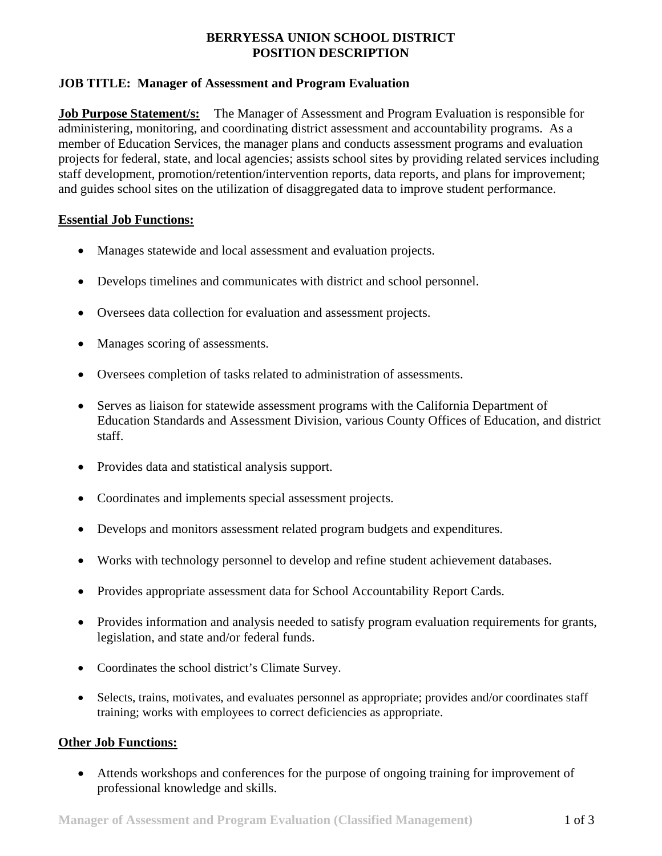## **BERRYESSA UNION SCHOOL DISTRICT POSITION DESCRIPTION**

# **JOB TITLE: Manager of Assessment and Program Evaluation**

**Job Purpose Statement/s:** The Manager of Assessment and Program Evaluation is responsible for administering, monitoring, and coordinating district assessment and accountability programs. As a member of Education Services, the manager plans and conducts assessment programs and evaluation projects for federal, state, and local agencies; assists school sites by providing related services including staff development, promotion/retention/intervention reports, data reports, and plans for improvement; and guides school sites on the utilization of disaggregated data to improve student performance.

#### **Essential Job Functions:**

- Manages statewide and local assessment and evaluation projects.
- Develops timelines and communicates with district and school personnel.
- Oversees data collection for evaluation and assessment projects.
- Manages scoring of assessments.
- Oversees completion of tasks related to administration of assessments.
- Serves as liaison for statewide assessment programs with the California Department of Education Standards and Assessment Division, various County Offices of Education, and district staff.
- Provides data and statistical analysis support.
- Coordinates and implements special assessment projects.
- Develops and monitors assessment related program budgets and expenditures.
- Works with technology personnel to develop and refine student achievement databases.
- Provides appropriate assessment data for School Accountability Report Cards.
- Provides information and analysis needed to satisfy program evaluation requirements for grants, legislation, and state and/or federal funds.
- Coordinates the school district's Climate Survey.
- Selects, trains, motivates, and evaluates personnel as appropriate; provides and/or coordinates staff training; works with employees to correct deficiencies as appropriate.

#### **Other Job Functions:**

 Attends workshops and conferences for the purpose of ongoing training for improvement of professional knowledge and skills.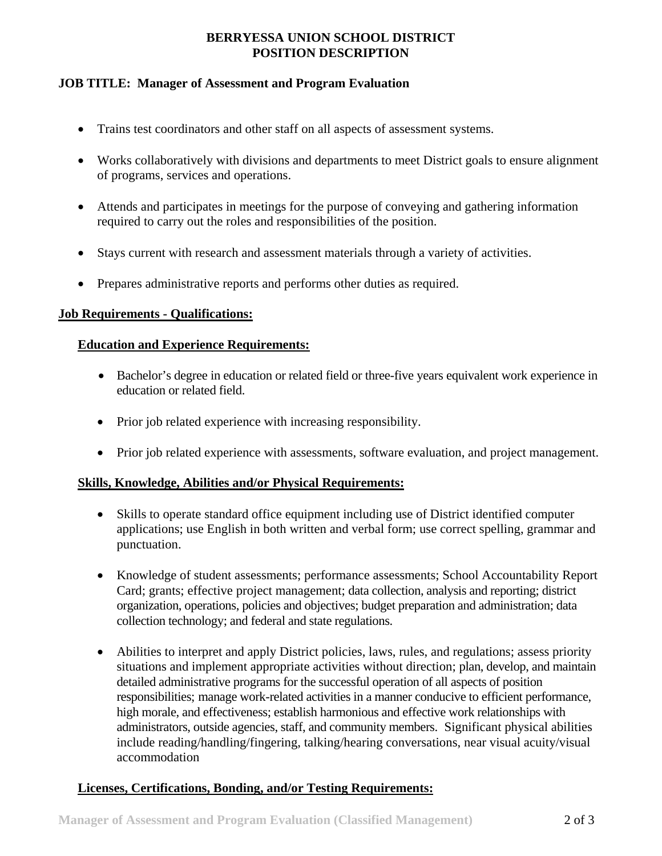# **BERRYESSA UNION SCHOOL DISTRICT POSITION DESCRIPTION**

### **JOB TITLE: Manager of Assessment and Program Evaluation**

- Trains test coordinators and other staff on all aspects of assessment systems.
- Works collaboratively with divisions and departments to meet District goals to ensure alignment of programs, services and operations.
- Attends and participates in meetings for the purpose of conveying and gathering information required to carry out the roles and responsibilities of the position.
- Stays current with research and assessment materials through a variety of activities.
- Prepares administrative reports and performs other duties as required.

#### **Job Requirements - Qualifications:**

### **Education and Experience Requirements:**

- Bachelor's degree in education or related field or three-five years equivalent work experience in education or related field.
- Prior job related experience with increasing responsibility.
- Prior job related experience with assessments, software evaluation, and project management.

#### **Skills, Knowledge, Abilities and/or Physical Requirements:**

- Skills to operate standard office equipment including use of District identified computer applications; use English in both written and verbal form; use correct spelling, grammar and punctuation.
- Knowledge of student assessments; performance assessments; School Accountability Report Card; grants; effective project management; data collection, analysis and reporting; district organization, operations, policies and objectives; budget preparation and administration; data collection technology; and federal and state regulations.
- Abilities to interpret and apply District policies, laws, rules, and regulations; assess priority situations and implement appropriate activities without direction; plan, develop, and maintain detailed administrative programs for the successful operation of all aspects of position responsibilities; manage work-related activities in a manner conducive to efficient performance, high morale, and effectiveness; establish harmonious and effective work relationships with administrators, outside agencies, staff, and community members. Significant physical abilities include reading/handling/fingering, talking/hearing conversations, near visual acuity/visual accommodation

# **Licenses, Certifications, Bonding, and/or Testing Requirements:**